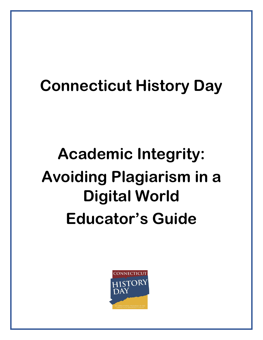## **Connecticut History Day**

# **Academic Integrity: Avoiding Plagiarism in a Digital World Educator's Guide**

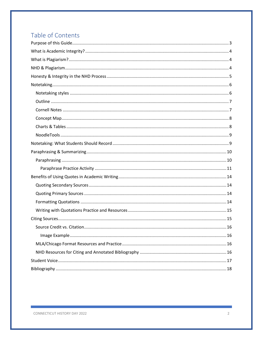## Table of Contents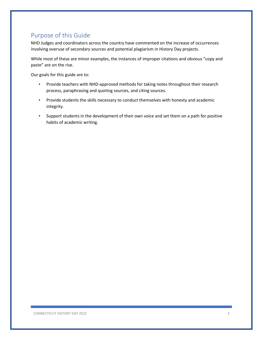## <span id="page-2-0"></span>Purpose of this Guide

NHD Judges and coordinators across the country have commented on the increase of occurrences involving overuse of secondary sources and potential plagiarism in History Day projects.

While most of these are minor examples, the instances of improper citations and obvious "copy and paste" are on the rise.

Our goals for this guide are to:

- Provide teachers with NHD-approved methods for taking notes throughout their research process, paraphrasing and quoting sources, and citing sources.
- Provide students the skills necessary to conduct themselves with honesty and academic integrity.
- Support students in the development of their own voice and set them on a path for positive habits of academic writing.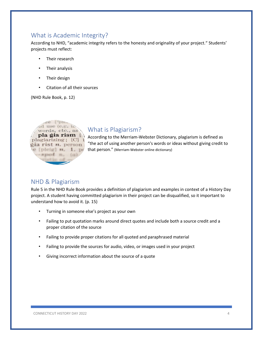## <span id="page-3-0"></span>What is Academic Integrity?

According to NHD, "academic integrity refers to the honesty and originality of your project." Students' projects must reflect:

- Their research
- Their analysis
- Their design
- Citation of all their sources

(NHD Rule Book, p. 12)



## <span id="page-3-1"></span>What is Plagiarism?

According to the Merriam-Webster Dictionary, plagiarism is defined as "the act of using another person's words or ideas without giving credit to  $e$  [pleig]  $n = 1$ . pe that person." (Merriam-Webster online dictionary)

## <span id="page-3-2"></span>NHD & Plagiarism

Rule 5 in the NHD Rule Book provides a definition of plagiarism and examples in context of a History Day project. A student having committed plagiarism in their project can be disqualified, so it important to understand how to avoid it. (p. 15)

- Turning in someone else's project as your own
- Failing to put quotation marks around direct quotes and include both a source credit and a proper citation of the source
- Failing to provide proper citations for all quoted and paraphrased material
- Failing to provide the sources for audio, video, or images used in your project
- Giving incorrect information about the source of a quote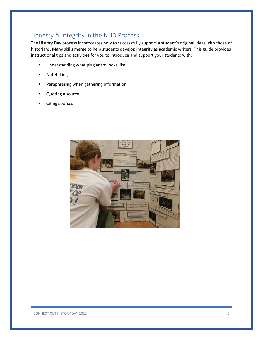## <span id="page-4-0"></span>Honesty & Integrity in the NHD Process

The History Day process incorporates how to successfully support a student's original ideas with those of historians. Many skills merge to help students develop integrity as academic writers. This guide provides instructional tips and activities for you to introduce and support your students with:

- Understanding what plagiarism looks like
- **Notetaking**
- Paraphrasing when gathering information
- Quoting a source
- Citing sources

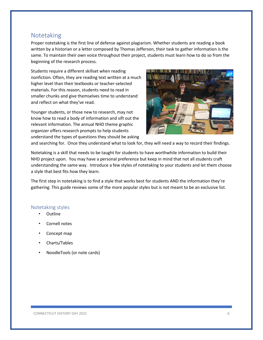## <span id="page-5-0"></span>Notetaking

Proper notetaking is the first line of defense against plagiarism. Whether students are reading a book written by a historian or a letter composed by Thomas Jefferson, their task to gather information is the same. To maintain their own voice throughout their project, students must learn how to do so from the beginning of the research process.

Students require a different skillset when reading nonfiction. Often, they are reading text written at a much higher level than their textbooks or teacher-selected materials. For this reason, students need to read in smaller chunks and give themselves time to understand and reflect on what they've read.

Younger students, or those new to research, may not know how to read a body of information and sift out the relevant information. The annual NHD theme graphic organizer offers research prompts to help students understand the types of questions they should be asking



and searching for. Once they understand what to look for, they will need a way to record their findings.

Notetaking is a skill that needs to be taught for students to have worthwhile information to build their NHD project upon. You may have a personal preference but keep in mind that not all students craft understanding the same way. Introduce a few styles of notetaking to your students and let them choose a style that best fits how they learn.

The first step in notetaking is to find a style that works best for students AND the information they're gathering. This guide reviews some of the more popular styles but is not meant to be an exclusive list.

#### <span id="page-5-1"></span>Notetaking styles

- Outline
- Cornell notes
- Concept map
- Charts/Tables
- NoodleTools (or note cards)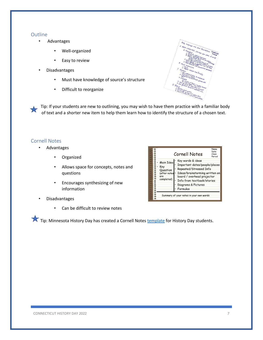#### <span id="page-6-0"></span>**Outline**

- Advantages
	- Well-organized
	- Easy to review
- Disadvantages
	- Must have knowledge of source's structure
	- Difficult to reorganize



Tip: If your students are new to outlining, you may wish to have them practice with a familiar body of text and a shorter new item to help them learn how to identify the structure of a chosen text.

#### <span id="page-6-1"></span>Cornell Notes

- Advantages
	- Organized
	- Allows space for concepts, notes and questions
	- Encourages synthesizing of new information
- Disadvantages
	- Can be difficult to review notes



Tip: Minnesota History Day has created a Cornell Notes [template](https://www.mnhs.org/sites/default/files/historyday/teachers/curriculum-and-timeline/cornell_notes_overview_and_work_pages.pdf) for History Day students.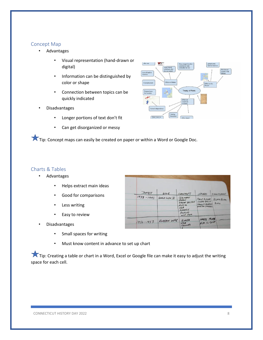#### <span id="page-7-0"></span>Concept Map

- Advantages
	- Visual representation (hand-drawn or digital)
	- Information can be distinguished by color or shape
	- Connection between topics can be quickly indicated
- Disadvantages
	- Longer portions of text don't fit
	- Can get disorganized or messy



Tip: Concept maps can easily be created on paper or within a Word or Google Doc.

#### <span id="page-7-1"></span>Charts & Tables

- Advantages
	- Helps extract main ideas
	- Good for comparisons
	- Less writing
	- Easy to review
- Disadvantages
	- Small spaces for writing
	- Must know content in advance to set up chart

Tip: Creating a table or chart in a Word, Excel or Google file can make it easy to adjust the writing space for each cell.

|                    | WAR          | COUNTRICS                         | LEMDERS                                    | SIGHIFICANES            |  |
|--------------------|--------------|-----------------------------------|--------------------------------------------|-------------------------|--|
| DATES<br>1939-1945 | WORLD WAR II | GERMANY<br>JAPAN<br>GREAT BRITAIN | ADOUG HITLER<br><b>JOSEPH D'ALIN</b>       | <b>BLAMBLAN</b><br>BLAW |  |
|                    |              | RUSSIA<br>USA<br>FRANCE           | <b>FLAKUN COUNTRY</b><br>WINSTON CAVELLILL |                         |  |
|                    |              | POLAND<br>and more                |                                            |                         |  |
|                    | KOREAN WAR   | KOREA                             | <b>HARRY TRUNK</b>                         |                         |  |
| $1950 - 1953$      |              | USA<br>CHINA                      |                                            | KIM IL-SUNK             |  |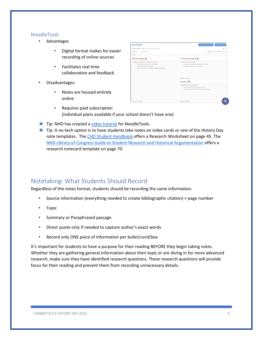#### <span id="page-8-0"></span>NoodleTools

- Advantages
	- Digital format makes for easier recording of online sources
	- Facilitates real time collaboration and feedback
- Disadvantages:
	- Notes are housed entirely online



- Requires paid subscription (individual plans available if your school doesn't have one)
- $\star$  Tip: NHD has created [a video tutorial](https://youtu.be/u-6jKpvC9gg) for NoodleTools.
- $\star$  Tip: A no-tech option is to have students take notes on index cards or one of the History Day note templates. The [CHD Student Handbook](https://www.historydayct.org/uploads/2/5/6/0/25607955/2021-22_chd_student_handbook.pdf) offers a Research Worksheet on page 45. The [NHD-Library of Congress Guide to Student Research and Historical Argumentation](https://www.nhd.org/sites/default/files/NHD_LoCTeacherGuide_082521_digital_webready_updated.pdf) offers a research notecard template on page 70.

## <span id="page-8-1"></span>Notetaking: What Students Should Record

Regardless of the notes format, students should be recording the same information.

- Source information (everything needed to create bibliographic citation) + page number
- Topic
- Summary or Paraphrased passage
- Direct quote only if needed to capture author's exact words
- Record only ONE piece of information per bullet/card/box

It's important for students to have a purpose for their reading BEFORE they begin taking notes. Whether they are gathering general information about their topic or are diving in for more advanced research, make sure they have identified research questions. These research questions will provide focus for their reading and prevent them from recording unnecessary details.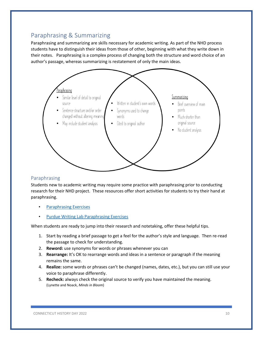## <span id="page-9-0"></span>Paraphrasing & Summarizing

Paraphrasing and summarizing are skills necessary for academic writing. As part of the NHD process students have to distinguish their ideas from those of other, beginning with what they write down in their notes. Paraphrasing is a complex process of changing both the structure and word choice of an author's passage, whereas summarizing is restatement of only the main ideas.



#### <span id="page-9-1"></span>Paraphrasing

Students new to academic writing may require some practice with paraphrasing prior to conducting research for their NHD project. These resources offer short activities for students to try their hand at paraphrasing.

- [Paraphrasing Exercises](https://1.cdn.edl.io/j5K9XyMSrF4Cvj7TXZIvRhS4NAdXMoe21RAdrjBR8LxlMBwl.pdf)
- [Purdue Writing Lab Paraphrasing Exercises](https://owl.purdue.edu/owl/research_and_citation/using_research/paraphrase_exercises/index.html)

When students are ready to jump into their research and notetaking, offer these helpful tips.

- 1. Start by reading a brief passage to get a feel for the author's style and language. Then re-read the passage to check for understanding.
- 2. **Reword:** use synonyms for words or phrases whenever you can
- 3. **Rearrange:** It's OK to rearrange words and ideas in a sentence or paragraph if the meaning remains the same.
- 4. **Realize:** some words or phrases can't be changed (names, dates, etc.), but you can still use your voice to paraphrase differently.
- 5. **Recheck:** always check the original source to verify you have maintained the meaning. (Lynette and Noack, *Minds in Bloom*)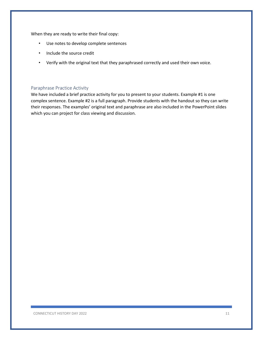When they are ready to write their final copy:

- Use notes to develop complete sentences
- Include the source credit
- Verify with the original text that they paraphrased correctly and used their own voice.

#### <span id="page-10-0"></span>Paraphrase Practice Activity

We have included a brief practice activity for you to present to your students. Example #1 is one complex sentence. Example #2 is a full paragraph. Provide students with the handout so they can write their responses. The examples' original text and paraphrase are also included in the PowerPoint slides which you can project for class viewing and discussion.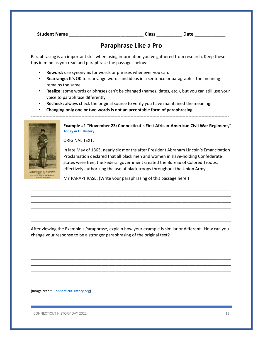**Student Name \_\_\_\_\_\_\_\_\_\_\_\_\_\_\_\_\_\_\_\_\_\_\_\_\_\_\_\_\_ Class \_\_\_\_\_\_\_\_\_\_ Date \_\_\_\_\_\_\_\_\_\_\_\_**

## **Paraphrase Like a Pro**

Paraphrasing is an important skill when using information you've gathered from research. Keep these tips in mind as you read and paraphrase the passages below:

- **Reword:** use synonyms for words or phrases whenever you can.
- **Rearrange:** It's OK to rearrange words and ideas in a sentence or paragraph if the meaning remains the same.
- **Realize:** some words or phrases can't be changed (names, dates, etc.), but you can still use your voice to paraphrase differently.
- **Recheck:** always check the original source to verify you have maintained the meaning.
- **Changing only one or two words is not an acceptable form of paraphrasing.**

-----------------------------------------------------------------------------------------------------------------------------------------



**Example #1 "November 23: Connecticut's First African-American Civil War Regiment," [Today in CT History](https://todayincthistory.com/2021/11/23/november-23-connecticuts-first-african-american-civil-war-regiment-4/)**

ORIGINAL TEXT:

In late May of 1863, nearly six months after President Abraham Lincoln's Emancipation Proclamation declared that all black men and women in slave-holding Confederate states were free, the Federal government created the Bureau of Colored Troops, effectively authorizing the use of black troops throughout the Union Army.

MY PARAPHRASE: (Write your paraphrasing of this passage here.)

\_\_\_\_\_\_\_\_\_\_\_\_\_\_\_\_\_\_\_\_\_\_\_\_\_\_\_\_\_\_\_\_\_\_\_\_\_\_\_\_\_\_\_\_\_\_\_\_\_\_\_\_\_\_\_\_\_\_\_\_\_\_\_\_\_\_\_\_\_\_\_\_\_\_\_\_\_\_\_\_\_\_\_\_\_ \_\_\_\_\_\_\_\_\_\_\_\_\_\_\_\_\_\_\_\_\_\_\_\_\_\_\_\_\_\_\_\_\_\_\_\_\_\_\_\_\_\_\_\_\_\_\_\_\_\_\_\_\_\_\_\_\_\_\_\_\_\_\_\_\_\_\_\_\_\_\_\_\_\_\_\_\_\_\_\_\_\_\_\_\_ \_\_\_\_\_\_\_\_\_\_\_\_\_\_\_\_\_\_\_\_\_\_\_\_\_\_\_\_\_\_\_\_\_\_\_\_\_\_\_\_\_\_\_\_\_\_\_\_\_\_\_\_\_\_\_\_\_\_\_\_\_\_\_\_\_\_\_\_\_\_\_\_\_\_\_\_\_\_\_\_\_\_\_\_\_ \_\_\_\_\_\_\_\_\_\_\_\_\_\_\_\_\_\_\_\_\_\_\_\_\_\_\_\_\_\_\_\_\_\_\_\_\_\_\_\_\_\_\_\_\_\_\_\_\_\_\_\_\_\_\_\_\_\_\_\_\_\_\_\_\_\_\_\_\_\_\_\_\_\_\_\_\_\_\_\_\_\_\_\_\_ \_\_\_\_\_\_\_\_\_\_\_\_\_\_\_\_\_\_\_\_\_\_\_\_\_\_\_\_\_\_\_\_\_\_\_\_\_\_\_\_\_\_\_\_\_\_\_\_\_\_\_\_\_\_\_\_\_\_\_\_\_\_\_\_\_\_\_\_\_\_\_\_\_\_\_\_\_\_\_\_\_\_\_\_\_ \_\_\_\_\_\_\_\_\_\_\_\_\_\_\_\_\_\_\_\_\_\_\_\_\_\_\_\_\_\_\_\_\_\_\_\_\_\_\_\_\_\_\_\_\_\_\_\_\_\_\_\_\_\_\_\_\_\_\_\_\_\_\_\_\_\_\_\_\_\_\_\_\_\_\_\_\_\_\_\_\_\_\_\_\_

After viewing the Example's Paraphrase, explain how your example is similar or different. How can you change your response to be a stronger paraphrasing of the original text?

\_\_\_\_\_\_\_\_\_\_\_\_\_\_\_\_\_\_\_\_\_\_\_\_\_\_\_\_\_\_\_\_\_\_\_\_\_\_\_\_\_\_\_\_\_\_\_\_\_\_\_\_\_\_\_\_\_\_\_\_\_\_\_\_\_\_\_\_\_\_\_\_\_\_\_\_\_\_\_\_\_\_\_\_\_ \_\_\_\_\_\_\_\_\_\_\_\_\_\_\_\_\_\_\_\_\_\_\_\_\_\_\_\_\_\_\_\_\_\_\_\_\_\_\_\_\_\_\_\_\_\_\_\_\_\_\_\_\_\_\_\_\_\_\_\_\_\_\_\_\_\_\_\_\_\_\_\_\_\_\_\_\_\_\_\_\_\_\_\_\_ \_\_\_\_\_\_\_\_\_\_\_\_\_\_\_\_\_\_\_\_\_\_\_\_\_\_\_\_\_\_\_\_\_\_\_\_\_\_\_\_\_\_\_\_\_\_\_\_\_\_\_\_\_\_\_\_\_\_\_\_\_\_\_\_\_\_\_\_\_\_\_\_\_\_\_\_\_\_\_\_\_\_\_\_\_ \_\_\_\_\_\_\_\_\_\_\_\_\_\_\_\_\_\_\_\_\_\_\_\_\_\_\_\_\_\_\_\_\_\_\_\_\_\_\_\_\_\_\_\_\_\_\_\_\_\_\_\_\_\_\_\_\_\_\_\_\_\_\_\_\_\_\_\_\_\_\_\_\_\_\_\_\_\_\_\_\_\_\_\_\_ \_\_\_\_\_\_\_\_\_\_\_\_\_\_\_\_\_\_\_\_\_\_\_\_\_\_\_\_\_\_\_\_\_\_\_\_\_\_\_\_\_\_\_\_\_\_\_\_\_\_\_\_\_\_\_\_\_\_\_\_\_\_\_\_\_\_\_\_\_\_\_\_\_\_\_\_\_\_\_\_\_\_\_\_\_ \_\_\_\_\_\_\_\_\_\_\_\_\_\_\_\_\_\_\_\_\_\_\_\_\_\_\_\_\_\_\_\_\_\_\_\_\_\_\_\_\_\_\_\_\_\_\_\_\_\_\_\_\_\_\_\_\_\_\_\_\_\_\_\_\_\_\_\_\_\_\_\_\_\_\_\_\_\_\_\_\_\_\_\_\_ \_\_\_\_\_\_\_\_\_\_\_\_\_\_\_\_\_\_\_\_\_\_\_\_\_\_\_\_\_\_\_\_\_\_\_\_\_\_\_\_\_\_\_\_\_\_\_\_\_\_\_\_\_\_\_\_\_\_\_\_\_\_\_\_\_\_\_\_\_\_\_\_\_\_\_\_\_\_\_\_\_\_\_\_\_

(Image credit: [ConnecticutHistory.org\)](https://connecticuthistory.org/connecticut-29th-mustered-into-service-today-in-history/)

CONNECTICUT HISTORY DAY 2022 12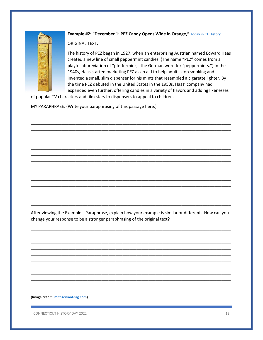

#### Example #2: "December 1: PEZ Candy Opens Wide in Orange," Today in CT History

**ORIGINAL TEXT:** 

The history of PEZ began in 1927, when an enterprising Austrian named Edward Haas created a new line of small peppermint candies. (The name "PEZ" comes from a playful abbreviation of "pfefferminz," the German word for "peppermints.") In the 1940s, Haas started marketing PEZ as an aid to help adults stop smoking and invented a small, slim dispenser for his mints that resembled a cigarette lighter. By the time PEZ debuted in the United States in the 1950s, Haas' company had expanded even further, offering candies in a variety of flavors and adding likenesses

of popular TV characters and film stars to dispensers to appeal to children.

MY PARAPHRASE: (Write your paraphrasing of this passage here.)

After viewing the Example's Paraphrase, explain how your example is similar or different. How can you change your response to be a stronger paraphrasing of the original text?

(Image credit SmithsonianMag.com)

CONNECTICUT HISTORY DAY 2022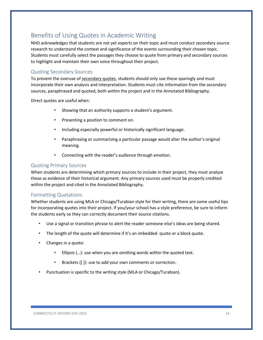## <span id="page-13-0"></span>Benefits of Using Quotes in Academic Writing

NHD acknowledges that students are not yet experts on their topic and must conduct secondary source research to understand the context and significance of the events surrounding their chosen topic. Students must carefully select the passages they choose to quote from primary and secondary sources to highlight and maintain their own voice throughout their project.

#### <span id="page-13-1"></span>Quoting Secondary Sources

To prevent the overuse of secondary quotes, students should only use these sparingly and must incorporate their own analysis and interpretation. Students must cite information from the secondary sources, paraphrased and quoted, both within the project and in the Annotated Bibliography.

Direct quotes are useful when:

- Showing that an authority supports a student's argument.
- Presenting a position to comment on.
- Including especially powerful or historically significant language.
- Paraphrasing or summarizing a particular passage would alter the author's original meaning.
- Connecting with the reader's audience through emotion.

#### <span id="page-13-2"></span>Quoting Primary Sources

When students are determining which primary sources to include in their project, they must analyze these as evidence of their historical argument. Any primary sources used must be properly credited within the project and cited in the Annotated Bibliography.

#### <span id="page-13-3"></span>Formatting Quotations

Whether students are using MLA or Chicago/Turabian style for their writing, there are some useful tips for incorporating quotes into their project. If you/your school has a style preference, be sure to inform the students early so they can correctly document their source citations.

- Use a signal or transition phrase to alert the reader someone else's ideas are being shared.
- The length of the quote will determine if it's an imbedded quote or a block quote.
- Changes in a quote:
	- Ellipsis (...): use when you are omitting words within the quoted text.
	- Brackets ([]): use to add your own comments or correction.
- Punctuation is specific to the writing style (MLA or Chicago/Turabian).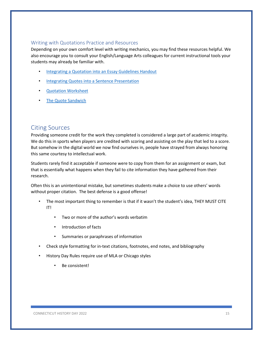#### <span id="page-14-0"></span>Writing with Quotations Practice and Resources

Depending on your own comfort level with writing mechanics, you may find these resources helpful. We also encourage you to consult your English/Language Arts colleagues for current instructional tools your students may already be familiar with.

- [Integrating a Quotation into an Essay Guidelines Handout](https://www.ursinus.edu/live/files/1160-integrating-quotespdf)
- **[Integrating Quotes into a Sentence Presentation](https://www.fcusd.org/cms/lib/CA01001934/Centricity/Domain/1250/Integrating%20Quotes%20Presentation%201.pdf)**
- [Quotation Worksheet](http://faculty.gordonstate.edu/lsanders-senu/Quotation%20Worksheet.pdf)
- [The Quote Sandwich](https://www.washoeschools.net/cms/lib08/NV01912265/Centricity/Domain/253/Social%20Studies/The%20Quote%20Sandwich.pdf)

### <span id="page-14-1"></span>Citing Sources

Providing someone credit for the work they completed is considered a large part of academic integrity. We do this in sports when players are credited with scoring and assisting on the play that led to a score. But somehow in the digital world we now find ourselves in, people have strayed from always honoring this same courtesy to intellectual work.

Students rarely find it acceptable if someone were to copy from them for an assignment or exam, but that is essentially what happens when they fail to cite information they have gathered from their research.

Often this is an unintentional mistake, but sometimes students make a choice to use others' words without proper citation. The best defense is a good offense!

- The most important thing to remember is that if it wasn't the student's idea, THEY MUST CITE IT!
	- Two or more of the author's words verbatim
	- Introduction of facts
	- Summaries or paraphrases of information
- Check style formatting for in-text citations, footnotes, end notes, and bibliography
- History Day Rules require use of MLA or Chicago styles
	- Be consistent!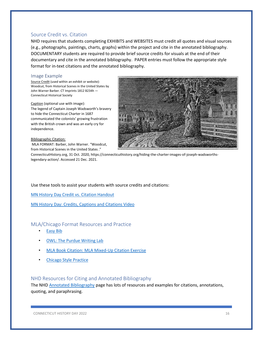### <span id="page-15-0"></span>Source Credit vs. Citation

NHD requires that students completing EXHIBITS and WEBSITES must credit all quotes and visual sources (e.g., photographs, paintings, charts, graphs) within the project and cite in the annotated bibliography. DOCUMENTARY students are required to provide brief source credits for visuals at the end of their documentary and cite in the annotated bibliography. PAPER entries must follow the appropriate style format for in-text citations and the annotated bibliography.

#### <span id="page-15-1"></span>Image Example

Source Credit (used within an exhibit or website): Woodcut, from Historical Scenes in the United States by John Warner Barber. CT Imprints 1812 B234h — Connecticut Historical Society

Caption (optional use with image): The legend of Captain Joseph Wadsworth's bravery to hide the Connecticut Charter in 1687 communicated the colonists' growing frustration with the British crown and was an early cry for independence.

#### Bibliographic Citation:

MLA FORMAT: Barber, John Warner. "Woodcut, from Historical Scenes in the United States ."

ConnecticutHistory.org, 31 Oct. 2020, https://connecticuthistory.org/hiding-the-charter-images-of-joseph-wadsworthslegendary-action/. Accessed 21 Dec. 2021.

#### Use these tools to assist your students with source credits and citations:

[MN History Day Credit vs. Citation Handout](https://www.mnhs.org/sites/default/files/historyday/teachers/curriculum-and-timeline/credit_citatoin_handout.pdf)

[MN History Day: Credits, Captions and Citations Video](https://vimeo.com/441104539)

#### <span id="page-15-2"></span>MLA/Chicago Format Resources and Practice

- **[Easy Bib](https://www.easybib.com/)**
- **[OWL: The Purdue Writing Lab](https://owl.purdue.edu/)**
- [MLA Book Citation: MLA Mixed-Up Citation Exercise](http://depts.washington.edu/trio/quest/citation/apa_mla_citation_game/mla_book.htm)
- [Chicago Style Practice](https://lib.utsa.edu/LearningTechnology/chicago_prac/Chicago%20Style%20Practice.pdf)

#### <span id="page-15-3"></span>NHD Resources for Citing and Annotated Bibliography

The NHD [Annotated Bibliography](https://www.nhd.org/annotated-bibliography) page has lots of resources and examples for citations, annotations, quoting, and paraphrasing.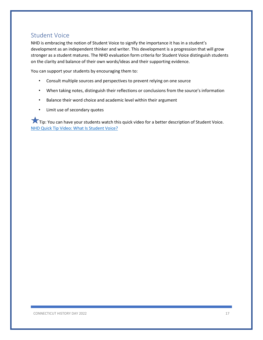## <span id="page-16-0"></span>Student Voice

NHD is embracing the notion of Student Voice to signify the importance it has in a student's development as an independent thinker and writer. This development is a progression that will grow stronger as a student matures. The NHD evaluation form criteria for Student Voice distinguish students on the clarity and balance of their own words/ideas and their supporting evidence.

You can support your students by encouraging them to:

- Consult multiple sources and perspectives to prevent relying on one source
- When taking notes, distinguish their reflections or conclusions from the source's information
- Balance their word choice and academic level within their argument
- Limit use of secondary quotes

Tip: You can have your students watch this quick video for a better description of Student Voice. [NHD Quick Tip Video: What Is Student Voice?](https://www.youtube.com/watch?v=yWOKGBK3_VU&list=PLgMH911UHQ52dJlSyOFmC5YQ1XKCjNrw5&index=1)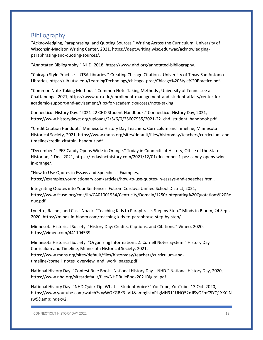## <span id="page-17-0"></span>Bibliography

"Acknowledging, Paraphrasing, and Quoting Sources." Writing Across the Curriculum, University of Wisconsin-Madison Writing Center, 2021, https://dept.writing.wisc.edu/wac/acknowledgingparaphrasing-and-quoting-sources/.

"Annotated Bibliography." NHD, 2018, https://www.nhd.org/annotated-bibliography.

"Chicago Style Practice - UTSA Libraries." Creating Chicago Citations, University of Texas-San Antonio Libraries, https://lib.utsa.edu/LearningTechnology/chicago\_prac/Chicago%20Style%20Practice.pdf.

"Common Note-Taking Methods." Common Note-Taking Methods , University of Tennessee at Chattanooga, 2021, https://www.utc.edu/enrollment-management-and-student-affairs/center-foracademic-support-and-advisement/tips-for-academic-success/note-taking.

Connecticut History Day. "2021-22 CHD Student Handbook." Connecticut History Day, 2021, https://www.historydayct.org/uploads/2/5/6/0/25607955/2021-22\_chd\_student\_handbook.pdf.

"Credit Citation Handout." Minnesota History Day Teachers: Curriculum and Timeline, Minnesota Historical Society, 2021, https://www.mnhs.org/sites/default/files/historyday/teachers/curriculum-andtimeline/credit\_citatoin\_handout.pdf.

"December 1: PEZ Candy Opens Wide in Orange." Today in Connecticut History, Office of the State Historian, 1 Dec. 2021, https://todayincthistory.com/2021/12/01/december-1-pez-candy-opens-widein-orange/.

"How to Use Quotes in Essays and Speeches." Examples, https://examples.yourdictionary.com/articles/how-to-use-quotes-in-essays-and-speeches.html.

Integrating Quotes into Your Sentences. Folsom Cordova Unified School District, 2021, https://www.fcusd.org/cms/lib/CA01001934/Centricity/Domain/1250/Integrating%20Quotations%20Re dux.pdf.

Lynette, Rachel, and Cassi Noack. "Teaching Kids to Paraphrase, Step by Step." Minds in Bloom, 24 Sept. 2020, https://minds-in-bloom.com/teaching-kids-to-paraphrase-step-by-step/.

Minnesota Historical Society. "History Day: Credits, Captions, and Citations." Vimeo, 2020, https://vimeo.com/441104539.

Minnesota Historical Society. "Organizing Information #2: Cornell Notes System." History Day Curriculum and Timeline, Minnesota Historical Society, 2021, https://www.mnhs.org/sites/default/files/historyday/teachers/curriculum-andtimeline/cornell\_notes\_overview\_and\_work\_pages.pdf.

National History Day. "Contest Rule Book - National History Day | NHD." National History Day, 2020, https://www.nhd.org/sites/default/files/NHDRuleBook2021Digital.pdf.

National History Day. "NHD Quick Tip: What Is Student Voice?" YouTube, YouTube, 13 Oct. 2020, https://www.youtube.com/watch?v=yWOKGBK3\_VU&list=PLgMH911UHQ52dJlSyOFmC5YQ1XKCjN rw5&index=2.

CONNECTICUT HISTORY DAY 2022 2023 18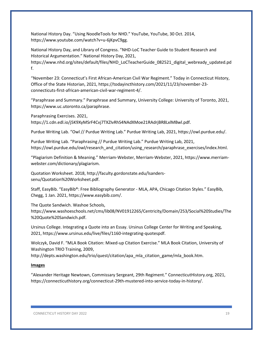National History Day. "Using NoodleTools for NHD." YouTube, YouTube, 30 Oct. 2014, https://www.youtube.com/watch?v=u-6jKpvC9gg.

National History Day, and Library of Congress. "NHD-LoC Teacher Guide to Student Research and Historical Argumentation." National History Day, 2021, https://www.nhd.org/sites/default/files/NHD\_LoCTeacherGuide\_082521\_digital\_webready\_updated.pd f.

"November 23: Connecticut's First African-American Civil War Regiment." Today in Connecticut History, Office of the State Historian, 2021, https://todayincthistory.com/2021/11/23/november-23 connecticuts-first-african-american-civil-war-regiment-4/.

"Paraphrase and Summary." Paraphrase and Summary, University College: University of Toronto, 2021, https://www.uc.utoronto.ca/paraphrase.

Paraphrasing Exercises. 2021,

https://1.cdn.edl.io/j5K9XyMSrF4Cvj7TXZIvRhS4NAdXMoe21RAdrjBR8LxlMBwl.pdf.

Purdue Writing Lab. "Owl // Purdue Writing Lab." Purdue Writing Lab, 2021, https://owl.purdue.edu/.

Purdue Writing Lab. "Paraphrasing // Purdue Writing Lab." Purdue Writing Lab, 2021, https://owl.purdue.edu/owl/research\_and\_citation/using\_research/paraphrase\_exercises/index.html.

"Plagiarism Definition & Meaning." Merriam-Webster, Merriam-Webster, 2021, https://www.merriamwebster.com/dictionary/plagiarism.

Quotation Worksheet. 2018, http://faculty.gordonstate.edu/lsanderssenu/Quotation%20Worksheet.pdf.

Staff, EasyBib. "EasyBib®: Free Bibliography Generator - MLA, APA, Chicago Citation Styles." EasyBib, Chegg, 1 Jan. 2021, https://www.easybib.com/.

The Quote Sandwich. Washoe Schools,

https://www.washoeschools.net/cms/lib08/NV01912265/Centricity/Domain/253/Social%20Studies/The %20Quote%20Sandwich.pdf.

Ursinus College. Integrating a Quote into an Essay. Ursinus College Center for Writing and Speaking, 2021, https://www.ursinus.edu/live/files/1160-integrating-quotespdf.

Wolczyk, David F. "MLA Book Citation: Mixed-up Citation Exercise." MLA Book Citation, University of Washington TRIO Training, 2009,

http://depts.washington.edu/trio/quest/citation/apa\_mla\_citation\_game/mla\_book.htm.

#### **Images**

"Alexander Heritage Newtown, Commissary Sergeant, 29th Regiment." ConnecticutHistory.org, 2021, https://connecticuthistory.org/connecticut-29th-mustered-into-service-today-in-history/.